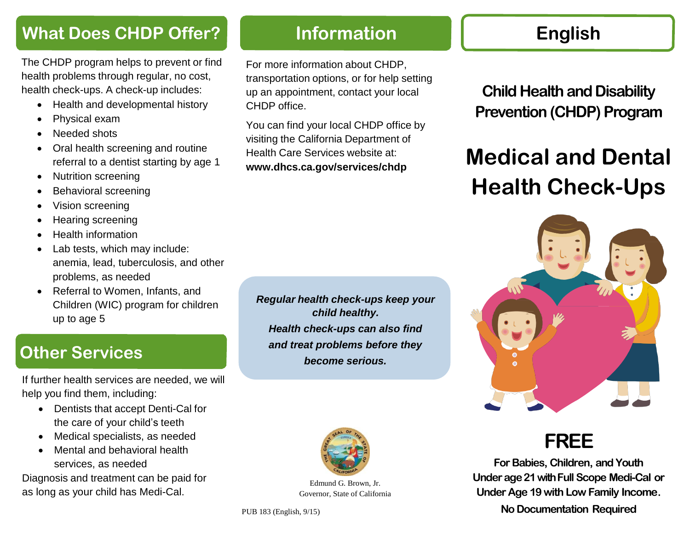## **What Does CHDP Offer?**

The CHDP program helps to prevent or find health problems through regular, no cost, health check-ups. A check-up includes:

- Health and developmental history
- Physical exam
- Needed shots
- Oral health screening and routine referral to a dentist starting by age 1
- Nutrition screening
- Behavioral screening
- Vision screening
- Hearing screening
- Health information
- Lab tests, which may include: anemia, lead, tuberculosis, and other problems, as needed
- Referral to Women, Infants, and Children (WIC) program for children up to age 5

## **Other Services**

If further health services are needed, we will help you find them, including:

- Dentists that accept Denti-Cal for the care of your child's teeth
- Medical specialists, as needed
- Mental and behavioral health services, as needed

Diagnosis and treatment can be paid for as long as your child has Medi-Cal.

#### *Regular health check-ups keep your child healthy. Health check-ups can also find and treat problems before they become serious.*

**Information**

For more information about CHDP,

CHDP office.

transportation options, or for help setting up an appointment, contact your local

You can find your local CHDP office by visiting the California Department of Health Care Services website at: **[www.dhcs.ca.gov/services/chdp](https://www.dhcs.ca.gov/services/chdp)**



Edmund G. Brown, Jr. Governor, State of California

## **English**

**Child Health and Disability Prevention** (CHDP) Program

# **Medical and Dental Health Check-Ups**



## **FREE**

**For Babies, Children, and Youth Underage21withFull Scope Medi-Cal or Under Age 19 with Low Family Income.**

**No Documentation Required**